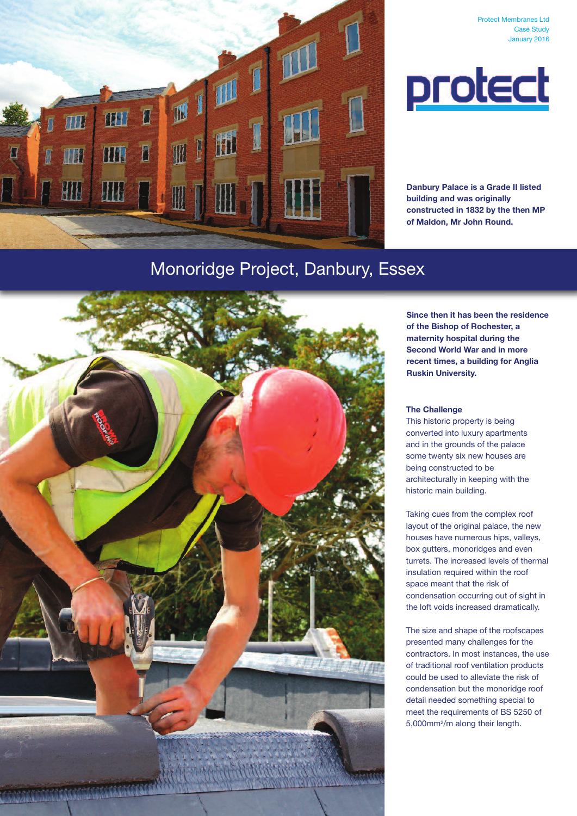



**Protect Membranes Ltd** 

Case Study January 2016

**Danbury Palace is a Grade II listed building and was originally constructed in 1832 by the then MP of Maldon, Mr John Round.**

# Monoridge Project, Danbury, Essex



**Since then it has been the residence of the Bishop of Rochester, a maternity hospital during the Second World War and in more recent times, a building for Anglia Ruskin University.**

### **The Challenge**

This historic property is being converted into luxury apartments and in the grounds of the palace some twenty six new houses are being constructed to be architecturally in keeping with the historic main building.

Taking cues from the complex roof layout of the original palace, the new houses have numerous hips, valleys, box gutters, monoridges and even turrets. The increased levels of thermal insulation required within the roof space meant that the risk of condensation occurring out of sight in the loft voids increased dramatically.

The size and shape of the roofscapes presented many challenges for the contractors. In most instances, the use of traditional roof ventilation products could be used to alleviate the risk of condensation but the monoridge roof detail needed something special to meet the requirements of BS 5250 of 5,000mm2/m along their length.